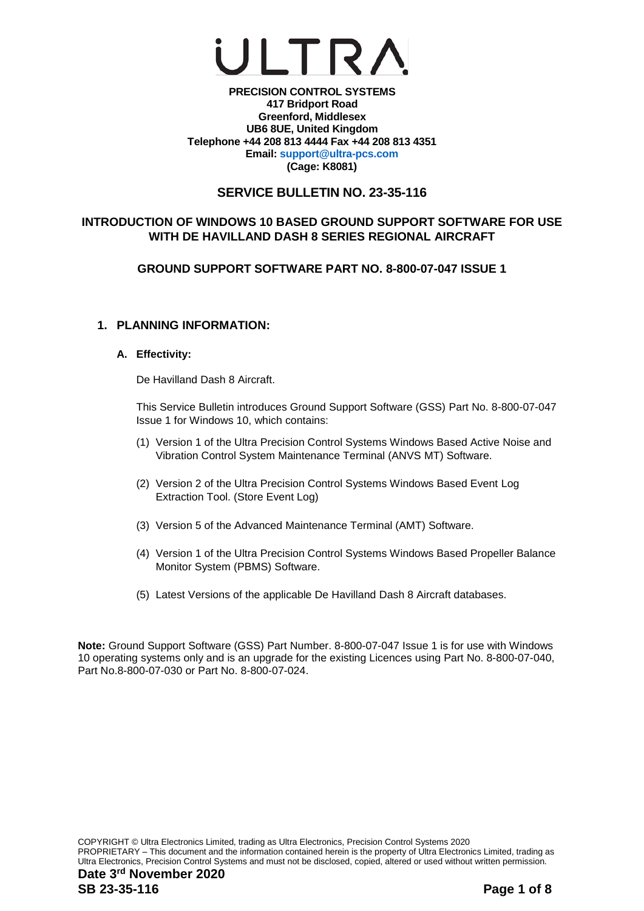## UI TRA

**PRECISION CONTROL SYSTEMS 417 Bridport Road Greenford, Middlesex UB6 8UE, United Kingdom Telephone +44 208 813 4444 Fax +44 208 813 4351 Email: [support@ultra-pcs.com](mailto:support@ultra-pcs.com) (Cage: K8081)**

## **SERVICE BULLETIN NO. 23-35-116**

## **INTRODUCTION OF WINDOWS 10 BASED GROUND SUPPORT SOFTWARE FOR USE WITH DE HAVILLAND DASH 8 SERIES REGIONAL AIRCRAFT**

**GROUND SUPPORT SOFTWARE PART NO. 8-800-07-047 ISSUE 1**

## **1. PLANNING INFORMATION:**

## **A. Effectivity:**

De Havilland Dash 8 Aircraft.

This Service Bulletin introduces Ground Support Software (GSS) Part No. 8-800-07-047 Issue 1 for Windows 10, which contains:

- (1) Version 1 of the Ultra Precision Control Systems Windows Based Active Noise and Vibration Control System Maintenance Terminal (ANVS MT) Software.
- (2) Version 2 of the Ultra Precision Control Systems Windows Based Event Log Extraction Tool. (Store Event Log)
- (3) Version 5 of the Advanced Maintenance Terminal (AMT) Software.
- (4) Version 1 of the Ultra Precision Control Systems Windows Based Propeller Balance Monitor System (PBMS) Software.
- (5) Latest Versions of the applicable De Havilland Dash 8 Aircraft databases.

**Note:** Ground Support Software (GSS) Part Number. 8-800-07-047 Issue 1 is for use with Windows 10 operating systems only and is an upgrade for the existing Licences using Part No. 8-800-07-040, Part No.8-800-07-030 or Part No. 8-800-07-024.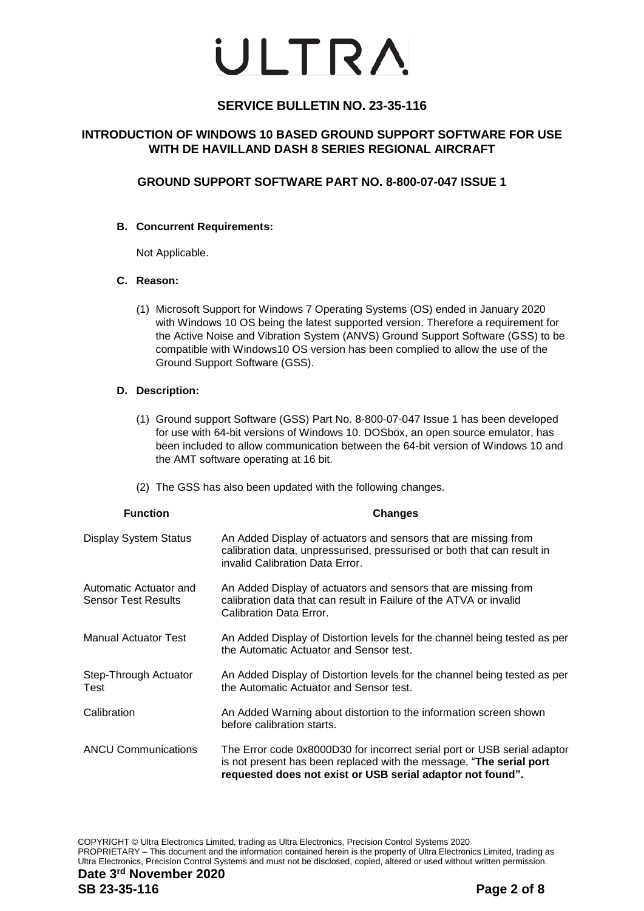## **SERVICE BULLETIN NO. 23-35-116**

## **INTRODUCTION OF WINDOWS 10 BASED GROUND SUPPORT SOFTWARE FOR USE WITH DE HAVILLAND DASH 8 SERIES REGIONAL AIRCRAFT**

## **GROUND SUPPORT SOFTWARE PART NO. 8-800-07-047 ISSUE 1**

## **B. Concurrent Requirements:**

Not Applicable.

## **C. Reason:**

(1) Microsoft Support for Windows 7 Operating Systems (OS) ended in January 2020 with Windows 10 OS being the latest supported version. Therefore a requirement for the Active Noise and Vibration System (ANVS) Ground Support Software (GSS) to be compatible with Windows10 OS version has been complied to allow the use of the Ground Support Software (GSS).

#### **D. Description:**

- (1) Ground support Software (GSS) Part No. 8-800-07-047 Issue 1 has been developed for use with 64-bit versions of Windows 10. DOSbox, an open source emulator, has been included to allow communication between the 64-bit version of Windows 10 and the AMT software operating at 16 bit.
- (2) The GSS has also been updated with the following changes.

| <b>Function</b>                                      | <b>Changes</b>                                                                                                                                                                                                |
|------------------------------------------------------|---------------------------------------------------------------------------------------------------------------------------------------------------------------------------------------------------------------|
| <b>Display System Status</b>                         | An Added Display of actuators and sensors that are missing from<br>calibration data, unpressurised, pressurised or both that can result in<br>invalid Calibration Data Error.                                 |
| Automatic Actuator and<br><b>Sensor Test Results</b> | An Added Display of actuators and sensors that are missing from<br>calibration data that can result in Failure of the ATVA or invalid<br>Calibration Data Error.                                              |
| <b>Manual Actuator Test</b>                          | An Added Display of Distortion levels for the channel being tested as per<br>the Automatic Actuator and Sensor test.                                                                                          |
| Step-Through Actuator<br>Test                        | An Added Display of Distortion levels for the channel being tested as per<br>the Automatic Actuator and Sensor test.                                                                                          |
| Calibration                                          | An Added Warning about distortion to the information screen shown<br>before calibration starts.                                                                                                               |
| <b>ANCU Communications</b>                           | The Error code 0x8000D30 for incorrect serial port or USB serial adaptor<br>is not present has been replaced with the message, "The serial port<br>requested does not exist or USB serial adaptor not found". |

COPYRIGHT © Ultra Electronics Limited, trading as Ultra Electronics, Precision Control Systems 2020 PROPRIETARY – This document and the information contained herein is the property of Ultra Electronics Limited, trading as Ultra Electronics, Precision Control Systems and must not be disclosed, copied, altered or used without written permission.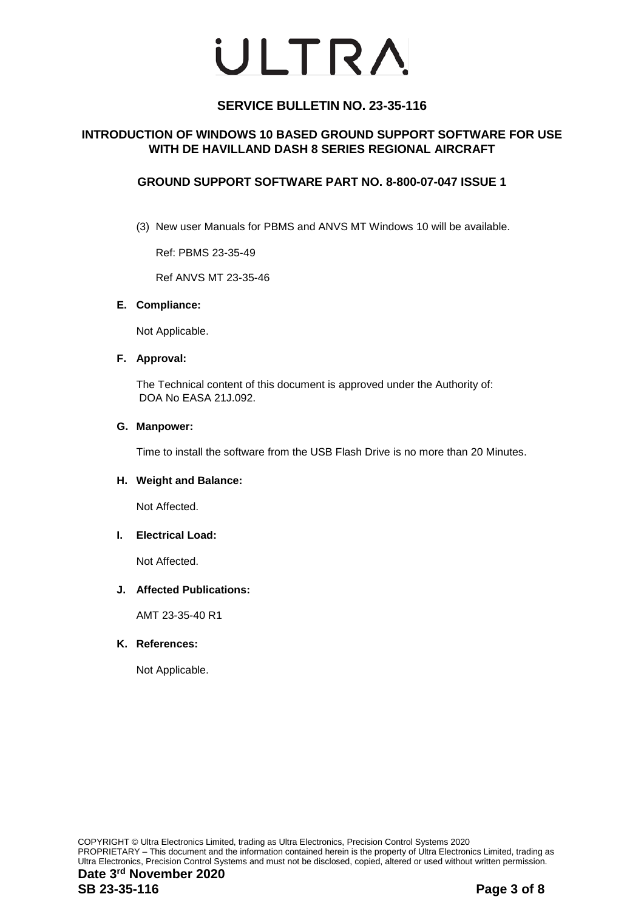## **SERVICE BULLETIN NO. 23-35-116**

## **INTRODUCTION OF WINDOWS 10 BASED GROUND SUPPORT SOFTWARE FOR USE WITH DE HAVILLAND DASH 8 SERIES REGIONAL AIRCRAFT**

## **GROUND SUPPORT SOFTWARE PART NO. 8-800-07-047 ISSUE 1**

(3) New user Manuals for PBMS and ANVS MT Windows 10 will be available.

Ref: PBMS 23-35-49

Ref ANVS MT 23-35-46

#### **E. Compliance:**

Not Applicable.

#### **F. Approval:**

The Technical content of this document is approved under the Authority of: DOA No EASA 21J.092.

#### **G. Manpower:**

Time to install the software from the USB Flash Drive is no more than 20 Minutes.

#### **H. Weight and Balance:**

Not Affected.

#### **I. Electrical Load:**

Not Affected.

#### **J. Affected Publications:**

AMT 23-35-40 R1

#### **K. References:**

Not Applicable.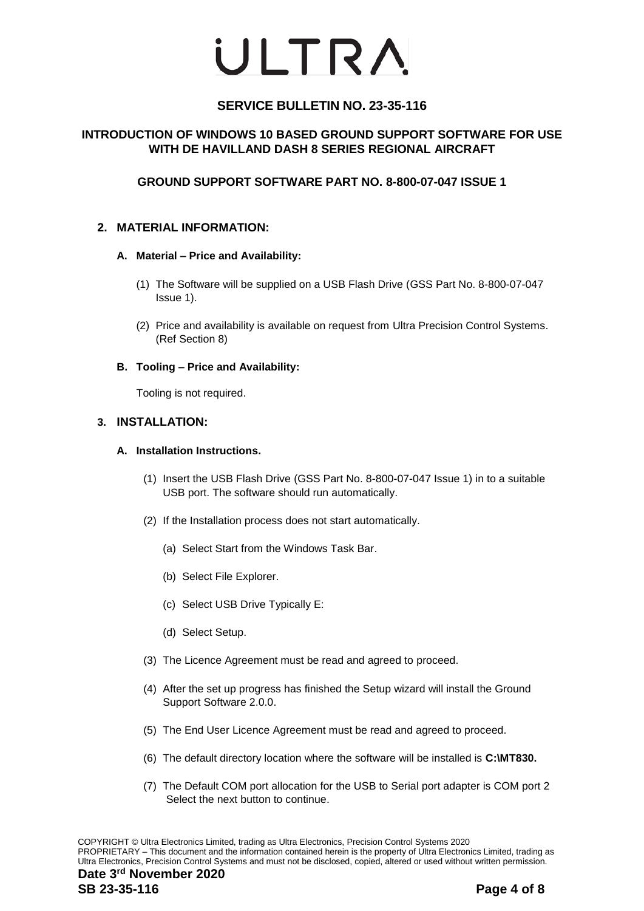## **SERVICE BULLETIN NO. 23-35-116**

## **INTRODUCTION OF WINDOWS 10 BASED GROUND SUPPORT SOFTWARE FOR USE WITH DE HAVILLAND DASH 8 SERIES REGIONAL AIRCRAFT**

## **GROUND SUPPORT SOFTWARE PART NO. 8-800-07-047 ISSUE 1**

## **2. MATERIAL INFORMATION:**

## **A. Material – Price and Availability:**

- (1) The Software will be supplied on a USB Flash Drive (GSS Part No. 8-800-07-047 Issue 1).
- (2) Price and availability is available on request from Ultra Precision Control Systems. (Ref Section 8)

## **B. Tooling – Price and Availability:**

Tooling is not required.

## **3. INSTALLATION:**

## **A. Installation Instructions.**

- (1) Insert the USB Flash Drive (GSS Part No. 8-800-07-047 Issue 1) in to a suitable USB port. The software should run automatically.
- (2) If the Installation process does not start automatically.
	- (a) Select Start from the Windows Task Bar.
	- (b) Select File Explorer.
	- (c) Select USB Drive Typically E:
	- (d) Select Setup.
- (3) The Licence Agreement must be read and agreed to proceed.
- (4) After the set up progress has finished the Setup wizard will install the Ground Support Software 2.0.0.
- (5) The End User Licence Agreement must be read and agreed to proceed.
- (6) The default directory location where the software will be installed is **C:\MT830.**
- (7) The Default COM port allocation for the USB to Serial port adapter is COM port 2 Select the next button to continue.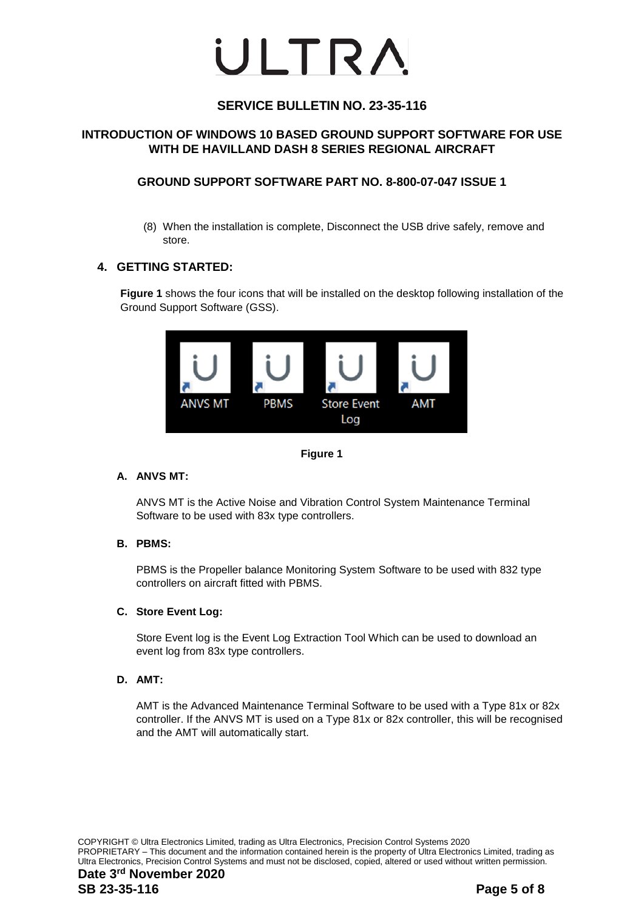## **SERVICE BULLETIN NO. 23-35-116**

## **INTRODUCTION OF WINDOWS 10 BASED GROUND SUPPORT SOFTWARE FOR USE WITH DE HAVILLAND DASH 8 SERIES REGIONAL AIRCRAFT**

## **GROUND SUPPORT SOFTWARE PART NO. 8-800-07-047 ISSUE 1**

(8) When the installation is complete, Disconnect the USB drive safely, remove and store.

## **4. GETTING STARTED:**

**Figure 1** shows the four icons that will be installed on the desktop following installation of the Ground Support Software (GSS).





## **A. ANVS MT:**

ANVS MT is the Active Noise and Vibration Control System Maintenance Terminal Software to be used with 83x type controllers.

## **B. PBMS:**

PBMS is the Propeller balance Monitoring System Software to be used with 832 type controllers on aircraft fitted with PBMS.

#### **C. Store Event Log:**

Store Event log is the Event Log Extraction Tool Which can be used to download an event log from 83x type controllers.

#### **D. AMT:**

AMT is the Advanced Maintenance Terminal Software to be used with a Type 81x or 82x controller. If the ANVS MT is used on a Type 81x or 82x controller, this will be recognised and the AMT will automatically start.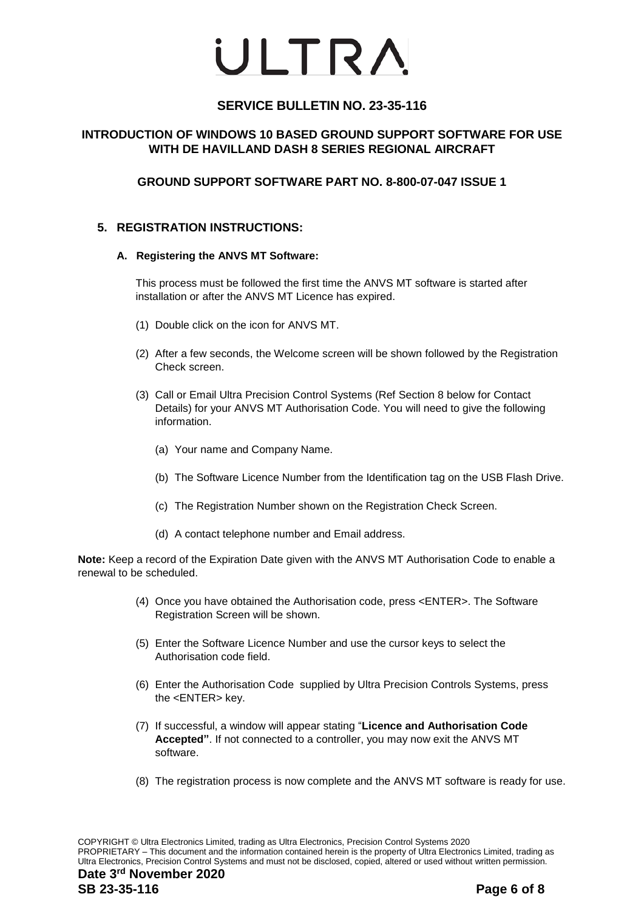## **SERVICE BULLETIN NO. 23-35-116**

## **INTRODUCTION OF WINDOWS 10 BASED GROUND SUPPORT SOFTWARE FOR USE WITH DE HAVILLAND DASH 8 SERIES REGIONAL AIRCRAFT**

## **GROUND SUPPORT SOFTWARE PART NO. 8-800-07-047 ISSUE 1**

## **5. REGISTRATION INSTRUCTIONS:**

#### **A. Registering the ANVS MT Software:**

This process must be followed the first time the ANVS MT software is started after installation or after the ANVS MT Licence has expired.

- (1) Double click on the icon for ANVS MT.
- (2) After a few seconds, the Welcome screen will be shown followed by the Registration Check screen.
- (3) Call or Email Ultra Precision Control Systems (Ref Section 8 below for Contact Details) for your ANVS MT Authorisation Code. You will need to give the following information.
	- (a) Your name and Company Name.
	- (b) The Software Licence Number from the Identification tag on the USB Flash Drive.
	- (c) The Registration Number shown on the Registration Check Screen.
	- (d) A contact telephone number and Email address.

**Note:** Keep a record of the Expiration Date given with the ANVS MT Authorisation Code to enable a renewal to be scheduled.

- (4) Once you have obtained the Authorisation code, press <ENTER>. The Software Registration Screen will be shown.
- (5) Enter the Software Licence Number and use the cursor keys to select the Authorisation code field.
- (6) Enter the Authorisation Code supplied by Ultra Precision Controls Systems, press the <ENTER> key.
- (7) If successful, a window will appear stating "**Licence and Authorisation Code Accepted"**. If not connected to a controller, you may now exit the ANVS MT software.
- (8) The registration process is now complete and the ANVS MT software is ready for use.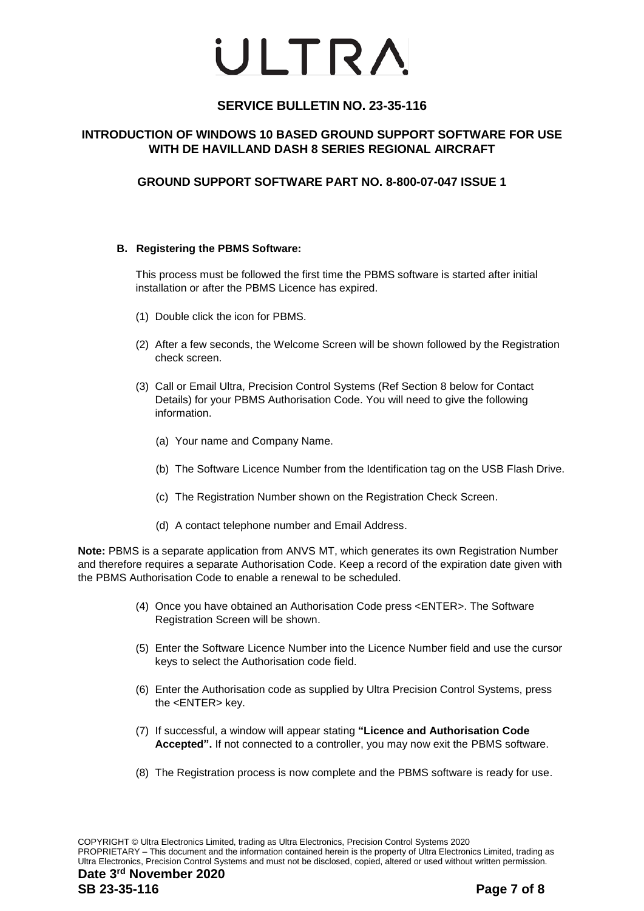## **SERVICE BULLETIN NO. 23-35-116**

## **INTRODUCTION OF WINDOWS 10 BASED GROUND SUPPORT SOFTWARE FOR USE WITH DE HAVILLAND DASH 8 SERIES REGIONAL AIRCRAFT**

## **GROUND SUPPORT SOFTWARE PART NO. 8-800-07-047 ISSUE 1**

#### **B. Registering the PBMS Software:**

This process must be followed the first time the PBMS software is started after initial installation or after the PBMS Licence has expired.

- (1) Double click the icon for PBMS.
- (2) After a few seconds, the Welcome Screen will be shown followed by the Registration check screen.
- (3) Call or Email Ultra, Precision Control Systems (Ref Section 8 below for Contact Details) for your PBMS Authorisation Code. You will need to give the following information.
	- (a) Your name and Company Name.
	- (b) The Software Licence Number from the Identification tag on the USB Flash Drive.
	- (c) The Registration Number shown on the Registration Check Screen.
	- (d) A contact telephone number and Email Address.

**Note:** PBMS is a separate application from ANVS MT, which generates its own Registration Number and therefore requires a separate Authorisation Code. Keep a record of the expiration date given with the PBMS Authorisation Code to enable a renewal to be scheduled.

- (4) Once you have obtained an Authorisation Code press <ENTER>. The Software Registration Screen will be shown.
- (5) Enter the Software Licence Number into the Licence Number field and use the cursor keys to select the Authorisation code field.
- (6) Enter the Authorisation code as supplied by Ultra Precision Control Systems, press the <ENTER> key.
- (7) If successful, a window will appear stating **"Licence and Authorisation Code Accepted".** If not connected to a controller, you may now exit the PBMS software.
- (8) The Registration process is now complete and the PBMS software is ready for use.